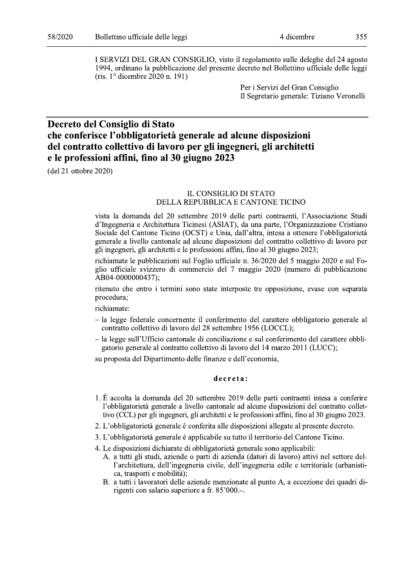I SERVIZI DEL GRAN CONSIGLIO, visto il regolamento sulle deleghe del 24 agosto 1994, ordinano la pubblicazione del presente decreto nel Bollettino ufficiale delle leggi (ris.  $1^{\circ}$  dicembre 2020 n. 191)

> Per i Servizi del Gran Consiglio Il Segretario generale: Tiziano Veronelli

# Decreto del Consiglio di Stato che conferisce l'obbligatorietà generale ad alcune disposizioni del contratto collettivo di lavoro per gli ingegneri, gli architetti e le professioni affini, fino al 30 giugno 2023

 $(\text{del } 21 \text{ ottobre } 2020)$ 

### IL CONSIGLIO DI STATO DELLA REPUBBLICA E CANTONE TICINO

vista la domanda del 20 settembre 2019 delle parti contraenti, l'Associazione Studi d'Ingegneria e Architettura Ticinesi (ASIAT), da una parte, l'Organizzazione Cristiano Sociale del Cantone Ticino (OCST) e Unia, dall'altra, intesa a ottenere l'obbligatorietà generale a livello cantonale ad alcune disposizioni del contratto collettivo di lavoro per gli ingegneri, gli architetti e le professioni affini, fino al 30 giugno 2023;

richiamate le pubblicazioni sul Foglio ufficiale n. 36/2020 del 5 maggio 2020 e sul Foglio ufficiale svizzero di commercio del 7 maggio 2020 (numero di pubblicazione AB04-0000000437);

ritenuto che entro i termini sono state interposte tre opposizione, evase con separata procedura;

richiamate:

- la legge federale concernente il conferimento del carattere obbligatorio generale al contratto collettivo di lavoro del 28 settembre 1956 (LOCCL);
- la legge sull'Ufficio cantonale di conciliazione e sul conferimento del carattere obbligatorio generale al contratto collettivo di lavoro del 14 marzo 2011 (LUCC);

su proposta del Dipartimento delle finanze e dell'economia,

### decreta:

- 1. È accolta la domanda del 20 settembre 2019 delle parti contraenti intesa a conferire l'obbligatorietà generale a livello cantonale ad alcune disposizioni del contratto collettivo (CCL) per gli ingegneri, gli architetti e le professioni affini, fino al 30 giugno 2023.
- 2. L'obbligatorietà generale è conferita alle disposizioni allegate al presente decreto.
- 3. L'obbligatorietà generale è applicabile su tutto il territorio del Cantone Ticino.
- 4. Le disposizioni dichiarate di obbligatorietà generale sono applicabili:
	- A. a tutti gli studi, aziende o parti di azienda (datori di lavoro) attivi nel settore dell'architettura, dell'ingegneria civile, dell'ingegneria edile e territoriale (urbanistica, trasporti e mobilità);
	- B. a tutti i lavoratori delle aziende menzionate al punto A, a eccezione dei quadri dirigenti con salario superiore a fr. 85'000.-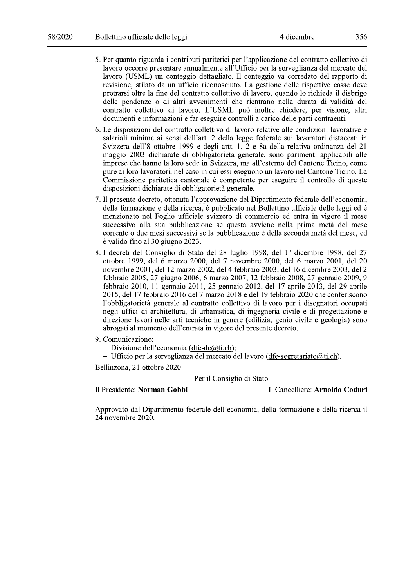- 5. Per quanto riguarda i contributi paritetici per l'applicazione del contratto collettivo di lavoro occorre presentare annualmente all'Ufficio per la sorveglianza del mercato del lavoro (USML) un conteggio dettagliato. Il conteggio va corredato del rapporto di revisione, stilato da un ufficio riconosciuto. La gestione delle rispettive casse deve protrarsi oltre la fine del contratto collettivo di lavoro, quando lo richieda il disbrigo delle pendenze o di altri avvenimenti che rientrano nella durata di validità del contratto collettivo di lavoro. L'USML può inoltre chiedere, per visione, altri documenti e informazioni e far eseguire controlli a carico delle parti contraenti.
- 6. Le disposizioni del contratto collettivo di lavoro relative alle condizioni lavorative e salariali minime ai sensi dell'art. 2 della legge federale sui lavoratori distaccati in Svizzera dell'8 ottobre 1999 e degli artt. 1, 2 e 8a della relativa ordinanza del 21 maggio 2003 dichiarate di obbligatorietà generale, sono parimenti applicabili alle imprese che hanno la loro sede in Svizzera, ma all'esterno del Cantone Ticino, come pure ai loro lavoratori, nel caso in cui essi eseguono un lavoro nel Cantone Ticino. La Commissione paritetica cantonale è competente per eseguire il controllo di queste disposizioni dichiarate di obbligatorietà generale.
- 7. Il presente decreto, ottenuta l'approvazione del Dipartimento federale dell'economia, della formazione e della ricerca, è pubblicato nel Bollettino ufficiale delle leggi ed è menzionato nel Foglio ufficiale svizzero di commercio ed entra in vigore il mese successivo alla sua pubblicazione se questa avviene nella prima metà del mese corrente o due mesi successivi se la pubblicazione è della seconda metà del mese, ed è valido fino al 30 giugno 2023.
- 8. I decreti del Consiglio di Stato del 28 luglio 1998, del 1º dicembre 1998, del 27 ottobre 1999, del 6 marzo 2000, del 7 novembre 2000, del 6 marzo 2001, del 20 novembre 2001, del 12 marzo 2002, del 4 febbraio 2003, del 16 dicembre 2003, del 2 febbraio 2005, 27 giugno 2006, 6 marzo 2007, 12 febbraio 2008, 27 gennaio 2009, 9 febbraio 2010, 11 gennaio 2011, 25 gennaio 2012, del 17 aprile 2013, del 29 aprile 2015, del 17 febbraio 2016 del 7 marzo 2018 e del 19 febbraio 2020 che conferiscono l'obbligatorietà generale al contratto collettivo di lavoro per i disegnatori occupati negli uffici di architettura, di urbanistica, di ingegneria civile e di progettazione e direzione lavori nelle arti tecniche in genere (edilizia, genio civile e geologia) sono abrogati al momento dell'entrata in vigore del presente decreto.
- 9. Comunicazione:
	- Divisione dell'economia (dfe-de $(\partial \phi)$ :
	- Ufficio per la sorveglianza del mercato del lavoro (dfe-segretariato $(\partial u)$ ti.ch).

Bellinzona, 21 ottobre 2020

# Per il Consiglio di Stato

Il Presidente: Norman Gobbi

Il Cancelliere: Arnoldo Coduri

Approvato dal Dipartimento federale dell'economia, della formazione e della ricerca il  $24$  novembre  $2020$ .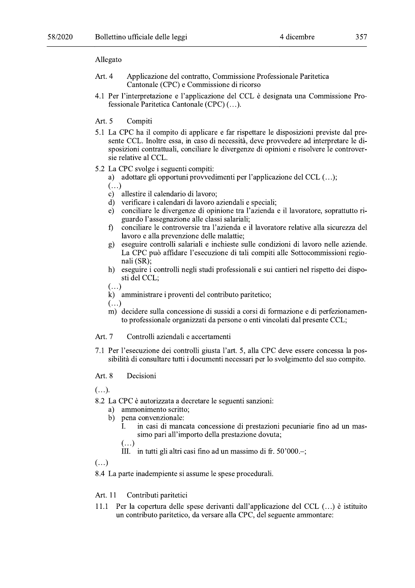### Allegato

- Applicazione del contratto, Commissione Professionale Paritetica Art. 4 Cantonale (CPC) e Commissione di ricorso
- 4.1 Per l'interpretazione e l'applicazione del CCL è designata una Commissione Professionale Paritetica Cantonale (CPC) (...).
- Art. 5 Compiti
- 5.1 La CPC ha il compito di applicare e far rispettare le disposizioni previste dal presente CCL. Inoltre essa, in caso di necessità, deve provvedere ad interpretare le disposizioni contrattuali, conciliare le divergenze di opinioni e risolvere le controversie relative al CCL.
- 5.2 La CPC svolge i seguenti compiti:
	- a) adottare gli opportuni provvedimenti per l'applicazione del CCL (...);

 $\left( \ldots \right)$ 

- c) allestire il calendario di lavoro;
- d) verificare i calendari di lavoro aziendali e speciali;
- conciliare le divergenze di opinione tra l'azienda e il lavoratore, soprattutto ri $e)$ guardo l'assegnazione alle classi salariali;
- conciliare le controversie tra l'azienda e il lavoratore relative alla sicurezza del  $\hat{\mathsf{n}}$ lavoro e alla prevenzione delle malattie;
- eseguire controlli salariali e inchieste sulle condizioni di lavoro nelle aziende.  $g)$ La CPC può affidare l'esecuzione di tali compiti alle Sottocommissioni regionali (SR):
- h) eseguire i controlli negli studi professionali e sui cantieri nel rispetto dei disposti del CCL:
- $\overline{(\ldots)}$
- $\vec{k}$ ) amministrare i proventi del contributo paritetico;
- $($ ...)
- m) decidere sulla concessione di sussidi a corsi di formazione e di perfezionamento professionale organizzati da persone o enti vincolati dal presente CCL;
- Art. 7 Controlli aziendali e accertamenti
- 7.1 Per l'esecuzione dei controlli giusta l'art. 5, alla CPC deve essere concessa la possibilità di consultare tutti i documenti necessari per lo svolgimento del suo compito.

#### Art. 8 Decisioni

 $(\ldots).$ 

8.2 La CPC è autorizzata a decretare le seguenti sanzioni:

- a) ammonimento scritto:
- b) pena convenzionale:
	- in casi di mancata concessione di prestazioni pecuniarie fino ad un mas- $\mathbf{I}$ . simo pari all'importo della prestazione dovuta;

 $(\ldots)$ 

III. in tutti gli altri casi fino ad un massimo di fr.  $50'000$ .

 $(\ldots)$ 

8.4 La parte inadempiente si assume le spese procedurali.

#### Contributi paritetici Art. 11

Per la copertura delle spese derivanti dall'applicazione del CCL (...) è istituito 11.1 un contributo paritetico, da versare alla CPC, del seguente ammontare: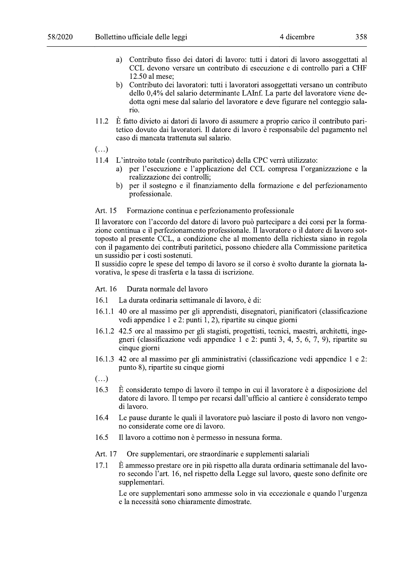- Contributo fisso dei datori di lavoro: tutti i datori di lavoro assoggettati al a) CCL devono versare un contributo di esecuzione e di controllo pari a CHF 12.50 al mese:
- b) Contributo dei lavoratori: tutti i lavoratori assoggettati versano un contributo dello 0,4% del salario determinante LAInf. La parte del lavoratore viene dedotta ogni mese dal salario del lavoratore e deve figurare nel conteggio salario.
- È fatto divieto ai datori di lavoro di assumere a proprio carico il contributo pari-11.2 tetico dovuto dai lavoratori. Il datore di lavoro è responsabile del pagamento nel caso di mancata trattenuta sul salario.
- $\left(\ldots\right)$
- 11.4 L'introito totale (contributo paritetico) della CPC verrà utilizzato:
	- per l'esecuzione e l'applicazione del CCL compresa l'organizzazione e la  $a)$ realizzazione dei controlli;
	- $b)$ per il sostegno e il finanziamento della formazione e del perfezionamento professionale.

#### Formazione continua e perfezionamento professionale Art. 15

Il lavoratore con l'accordo del datore di lavoro può partecipare a dei corsi per la formazione continua e il perfezionamento professionale. Il lavoratore o il datore di lavoro sottoposto al presente CCL, a condizione che al momento della richiesta siano in regola con il pagamento dei contributi paritetici, possono chiedere alla Commissione paritetica un sussidio per i costi sostenuti.

Il sussidio copre le spese del tempo di lavoro se il corso è svolto durante la giornata lavorativa, le spese di trasferta e la tassa di iscrizione.

- Art. 16 Durata normale del lavoro
- La durata ordinaria settimanale di lavoro, è di: 16.1
- 16.1.1 40 ore al massimo per gli apprendisti, disegnatori, pianificatori (classificazione vedi appendice 1 e 2: punti 1, 2), ripartite su cinque giorni
- 16.1.2 42.5 ore al massimo per gli stagisti, progettisti, tecnici, maestri, architetti, ingegneri (classificazione vedi appendice 1 e 2: punti 3, 4, 5, 6, 7, 9), ripartite su cinque giorni
- 16.1.3 42 ore al massimo per gli amministrativi (classificazione vedi appendice 1 e 2: punto 8), ripartite su cinque giorni
- $\left( \ldots \right)$
- 16.3  $\dot{E}$  considerato tempo di lavoro il tempo in cui il lavoratore è a disposizione del datore di lavoro. Il tempo per recarsi dall'ufficio al cantiere è considerato tempo di lavoro.
- 16.4 Le pause durante le quali il lavoratore può lasciare il posto di lavoro non vengono considerate come ore di lavoro.
- 16.5 Il lavoro a cottimo non è permesso in nessuna forma.
- Ore supplementari, ore straordinarie e supplementi salariali Art. 17
- $17.1$ È ammesso prestare ore in più rispetto alla durata ordinaria settimanale del lavoro secondo l'art. 16, nel rispetto della Legge sul lavoro, queste sono definite ore supplementari.

Le ore supplementari sono ammesse solo in via eccezionale e quando l'urgenza e la necessità sono chiaramente dimostrate.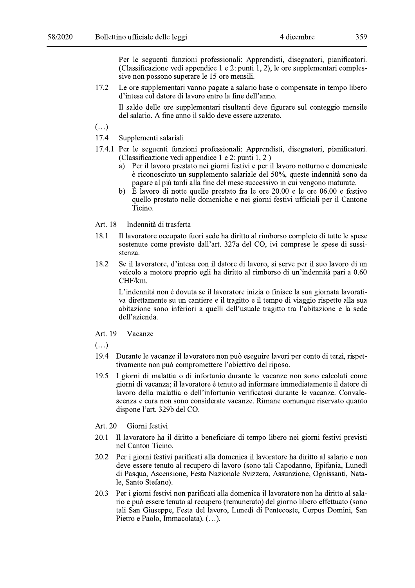Per le seguenti funzioni professionali: Apprendisti, disegnatori, pianificatori. (Classificazione vedi appendice 1 e 2: punti 1, 2), le ore supplementari complessive non possono superare le 15 ore mensili.

Le ore supplementari vanno pagate a salario base o compensate in tempo libero 17.2 d'intesa col datore di lavoro entro la fine dell'anno.

Il saldo delle ore supplementari risultanti deve figurare sul conteggio mensile del salario. A fine anno il saldo deve essere azzerato.

 $\left(\ldots\right)$ 

- 17.4 Supplementi salariali
- 17.4.1 Per le seguenti funzioni professionali: Apprendisti, disegnatori, pianificatori. (Classificazione vedi appendice 1 e 2: punti 1, 2)
	- Per il lavoro prestato nei giorni festivi e per il lavoro notturno e domenicale a) è riconosciuto un supplemento salariale del 50%, queste indennità sono da pagare al più tardi alla fine del mese successivo in cui vengono maturate.
	- b)  $\vec{E}$  lavoro di notte quello prestato fra le ore 20.00 e le ore 06.00 e festivo quello prestato nelle domeniche e nei giorni festivi ufficiali per il Cantone Ticino.
- Art. 18 Indennità di trasferta
- 18.1 Il lavoratore occupato fuori sede ha diritto al rimborso completo di tutte le spese sostenute come previsto dall'art. 327a del CO, ivi comprese le spese di sussistenza.
- 18.2 Se il lavoratore, d'intesa con il datore di lavoro, si serve per il suo lavoro di un veicolo a motore proprio egli ha diritto al rimborso di un'indennità pari a 0.60 CHF/km.

L'indennità non è dovuta se il lavoratore inizia o finisce la sua giornata lavorativa direttamente su un cantiere e il tragitto e il tempo di viaggio rispetto alla sua abitazione sono inferiori a quelli dell'usuale tragitto tra l'abitazione e la sede dell'azienda.

- Art. 19 Vacanze
- $\left( \ldots \right)$
- 19.4 Durante le vacanze il lavoratore non può eseguire lavori per conto di terzi, rispettivamente non può compromettere l'obiettivo del riposo.
- I giorni di malattia o di infortunio durante le vacanze non sono calcolati come 19.5 giorni di vacanza; il lavoratore è tenuto ad informare immediatamente il datore di lavoro della malattia o dell'infortunio verificatosi durante le vacanze. Convalescenza e cura non sono considerate vacanze. Rimane comunque riservato quanto dispone l'art. 329b del CO.
- Art. 20 Giorni festivi
- 20.1 Il lavoratore ha il diritto a beneficiare di tempo libero nei giorni festivi previsti nel Canton Ticino.
- 20.2 Per i giorni festivi parificati alla domenica il lavoratore ha diritto al salario e non deve essere tenuto al recupero di lavoro (sono tali Capodanno, Epifania, Lunedì di Pasqua, Ascensione, Festa Nazionale Svizzera, Assunzione, Ognissanti, Natale, Santo Stefano).
- Per i giorni festivi non parificati alla domenica il lavoratore non ha diritto al sala-20.3 rio e può essere tenuto al recupero (remunerato) del giorno libero effettuato (sono tali San Giuseppe, Festa del lavoro, Lunedì di Pentecoste, Corpus Domini, San Pietro e Paolo, Immacolata). (...).

359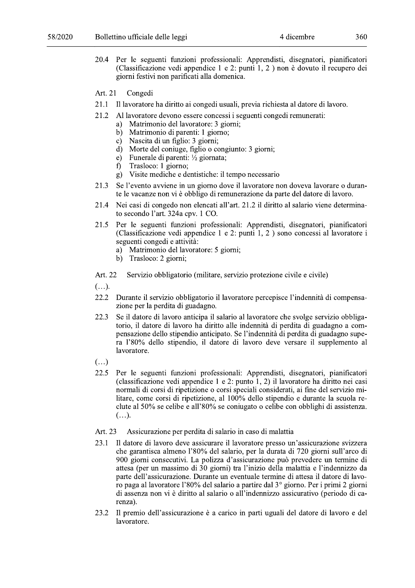- 20.4 Per le seguenti funzioni professionali: Apprendisti, disegnatori, pianificatori (Classificazione vedi appendice 1 e 2: punti 1, 2) non è dovuto il recupero dei giorni festivi non parificati alla domenica.
- Art. 21 Congedi
- 21.1 Il lavoratore ha diritto ai congedi usuali, previa richiesta al datore di lavoro.
- Al lavoratore devono essere concessi i seguenti congedi remunerati: 21.2
	- Matrimonio del lavoratore: 3 giorni; a)
	- Matrimonio di parenti: 1 giorno;  $b)$
	- Nascita di un figlio: 3 giorni;  $c$ )
	- d) Morte del coniuge, figlio o congiunto: 3 giorni;
	- e) Funerale di parenti:  $\frac{1}{2}$  giornata;
	- Trasloco: 1 giorno;  $\mathbf{f}$
	- g) Visite mediche e dentistiche: il tempo necessario
- 21.3 Se l'evento avviene in un giorno dove il lavoratore non doveva lavorare o durante le vacanze non vi è obbligo di remunerazione da parte del datore di lavoro.
- 21.4 Nei casi di congedo non elencati all'art. 21.2 il diritto al salario viene determinato secondo l'art. 324a cpv. 1 CO.
- Per le seguenti funzioni professionali: Apprendisti, disegnatori, pianificatori 21.5 (Classificazione vedi appendice 1 e 2: punti 1, 2) sono concessi al lavoratore i seguenti congedi e attività:
	- a) Matrimonio del lavoratore: 5 giorni;
	- b) Trasloco: 2 giorni;
- Art. 22 Servizio obbligatorio (militare, servizio protezione civile e civile)
- $(\ldots).$
- 22.2 Durante il servizio obbligatorio il lavoratore percepisce l'indennità di compensazione per la perdita di guadagno.
- 22.3 Se il datore di lavoro anticipa il salario al lavoratore che svolge servizio obbligatorio, il datore di lavoro ha diritto alle indennità di perdita di guadagno a compensazione dello stipendio anticipato. Se l'indennità di perdita di guadagno supera l'80% dello stipendio, il datore di lavoro deve versare il supplemento al lavoratore.
- $\left(\ldots\right)$
- Per le seguenti funzioni professionali: Apprendisti, disegnatori, pianificatori 22.5 (classificazione vedi appendice 1 e 2: punto 1, 2) il lavoratore ha diritto nei casi normali di corsi di ripetizione o corsi speciali considerati, ai fine del servizio militare, come corsi di ripetizione, al 100% dello stipendio e durante la scuola reclute al 50% se celibe e all'80% se coniugato o celibe con obblighi di assistenza.  $(\ldots).$
- Assicurazione per perdita di salario in caso di malattia Art. 23
- 23.1 Il datore di lavoro deve assicurare il lavoratore presso un'assicurazione svizzera che garantisca almeno l'80% del salario, per la durata di 720 giorni sull'arco di 900 giorni consecutivi. La polizza d'assicurazione può prevedere un termine di attesa (per un massimo di 30 giorni) tra l'inizio della malattia e l'indennizzo da parte dell'assicurazione. Durante un eventuale termine di attesa il datore di lavoro paga al lavoratore l'80% del salario a partire dal 3° giorno. Per i primi 2 giorni di assenza non vi è diritto al salario o all'indennizzo assicurativo (periodo di carenza).
- 23.2 Il premio dell'assicurazione è a carico in parti uguali del datore di lavoro e del lavoratore.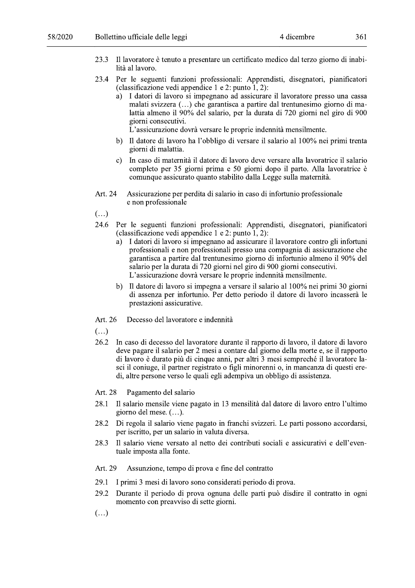- 23.3 Il lavoratore è tenuto a presentare un certificato medico dal terzo giorno di inabilità al lavoro.
- 23.4 Per le seguenti funzioni professionali: Apprendisti, disegnatori, pianificatori (classificazione vedi appendice 1 e 2: punto 1, 2):
	- I datori di lavoro si impegnano ad assicurare il lavoratore presso una cassa malati svizzera (...) che garantisca a partire dal trentunesimo giorno di malattia almeno il 90% del salario, per la durata di 720 giorni nel giro di 900 giorni consecutivi.

L'assicurazione dovrà versare le proprie indennità mensilmente.

- b) Il datore di lavoro ha l'obbligo di versare il salario al 100% nei primi trenta giorni di malattia.
- c) In caso di maternità il datore di lavoro deve versare alla lavoratrice il salario completo per 35 giorni prima e 50 giorni dopo il parto. Alla lavoratrice è comunque assicurato quanto stabilito dalla Legge sulla maternità.
- Art. 24 Assicurazione per perdita di salario in caso di infortunio professionale e non professionale
- $\left( \ldots \right)$
- 24.6 Per le seguenti funzioni professionali: Apprendisti, disegnatori, pianificatori (classificazione vedi appendice 1 e 2: punto  $1, 2$ ):
	- I datori di lavoro si impegnano ad assicurare il lavoratore contro gli infortuni a) professionali e non professionali presso una compagnia di assicurazione che garantisca a partire dal trentunesimo giorno di infortunio almeno il 90% del salario per la durata di 720 giorni nel giro di 900 giorni consecutivi. L'assicurazione dovrà versare le proprie indennità mensilmente.
	- b) Il datore di lavoro si impegna a versare il salario al 100% nei primi 30 giorni di assenza per infortunio. Per detto periodo il datore di lavoro incasserà le prestazioni assicurative.
- Art. 26 Decesso del lavoratore e indennità
- $\left( \ldots \right)$
- 26.2 In caso di decesso del lavoratore durante il rapporto di lavoro, il datore di lavoro deve pagare il salario per 2 mesi a contare dal giorno della morte e, se il rapporto di lavoro è durato più di cinque anni, per altri 3 mesi sempreché il lavoratore lasci il coniuge, il partner registrato o figli minorenni o, in mancanza di questi eredi, altre persone verso le quali egli adempiva un obbligo di assistenza.

Art. 28 Pagamento del salario

- 28.1 Il salario mensile viene pagato in 13 mensilità dal datore di lavoro entro l'ultimo giorno del mese.  $(\ldots)$ .
- 28.2 Di regola il salario viene pagato in franchi svizzeri. Le parti possono accordarsi, per iscritto, per un salario in valuta diversa.
- 28.3 Il salario viene versato al netto dei contributi sociali e assicurativi e dell'eventuale imposta alla fonte.
- Art. 29 Assunzione, tempo di prova e fine del contratto
- 29.1 I primi 3 mesi di lavoro sono considerati periodo di prova.
- 29.2 Durante il periodo di prova ognuna delle parti può disdire il contratto in ogni momento con preavoiso di sette giorni.
- $(\ldots)$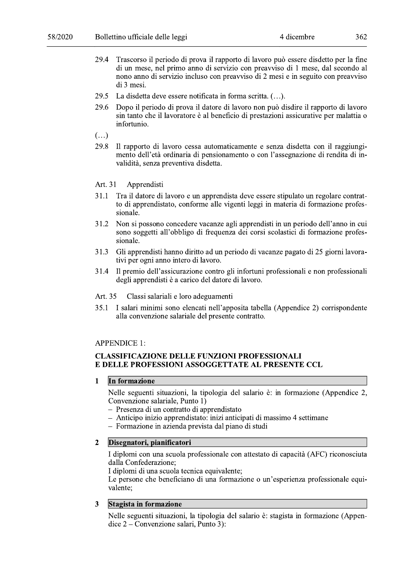- 29.4 Trascorso il periodo di prova il rapporto di lavoro può essere disdetto per la fine di un mese, nel primo anno di servizio con preavviso di 1 mese, dal secondo al nono anno di servizio incluso con preavviso di 2 mesi e in seguito con preavviso di 3 mesi.
- 29.5 La disdetta deve essere notificata in forma scritta. (...).
- 29.6 Dopo il periodo di prova il datore di lavoro non può disdire il rapporto di lavoro sin tanto che il lavoratore è al beneficio di prestazioni assicurative per malattia o infortunio.

 $\left(\ldots\right)$ 

- 29.8 Il rapporto di lavoro cessa automaticamente e senza disdetta con il raggiungimento dell'età ordinaria di pensionamento o con l'assegnazione di rendita di invalidità, senza preventiva disdetta.
- Art. 31 Apprendisti
- 31.1 Tra il datore di lavoro e un apprendista deve essere stipulato un regolare contratto di apprendistato, conforme alle vigenti leggi in materia di formazione professionale.
- Non si possono concedere vacanze agli apprendisti in un periodo dell'anno in cui 31.2 sono soggetti all'obbligo di frequenza dei corsi scolastici di formazione professionale.
- Gli apprendisti hanno diritto ad un periodo di vacanze pagato di 25 giorni lavora-31.3 tivi per ogni anno intero di lavoro.
- Il premio dell'assicurazione contro gli infortuni professionali e non professionali 31.4 degli apprendisti è a carico del datore di lavoro.
- Classi salariali e loro adeguamenti Art. 35
- 35.1 I salari minimi sono elencati nell'apposita tabella (Appendice 2) corrispondente alla convenzione salariale del presente contratto.

### **APPENDICE 1:**

## **CLASSIFICAZIONE DELLE FUNZIONI PROFESSIONALI** E DELLE PROFESSIONI ASSOGGETTATE AL PRESENTE CCL

In formazione  $\mathbf{1}$ 

> Nelle seguenti situazioni, la tipologia del salario è: in formazione (Appendice 2, Convenzione salariale, Punto 1)

- Presenza di un contratto di apprendistato
- Anticipo inizio apprendistato: inizi anticipati di massimo 4 settimane
- Formazione in azienda prevista dal piano di studi

#### $\overline{2}$ Disegnatori, pianificatori

I diplomi con una scuola professionale con attestato di capacità (AFC) riconosciuta dalla Confederazione;

I diplomi di una scuola tecnica equivalente;

Le persone che beneficiano di una formazione o un'esperienza professionale equivalente:

#### **Stagista in formazione** 3

Nelle seguenti situazioni, la tipologia del salario è: stagista in formazione (Appendice  $2$  – Convenzione salari, Punto 3):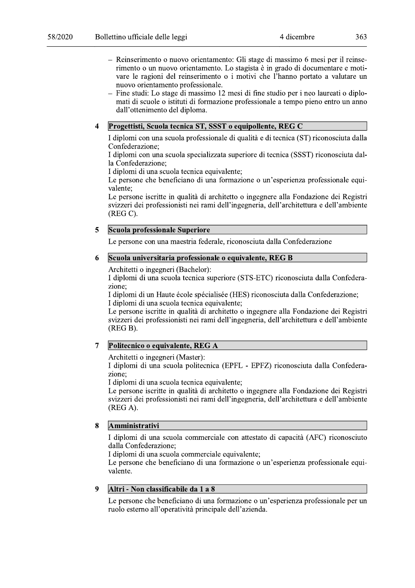- Reinserimento o nuovo orientamento: Gli stage di massimo 6 mesi per il reinserimento o un nuovo orientamento. Lo stagista è in grado di documentare e motivare le ragioni del reinserimento o i motivi che l'hanno portato a valutare un nuovo orientamento professionale.
- Fine studi: Lo stage di massimo 12 mesi di fine studio per i neo laureati o diplomati di scuole o istituti di formazione professionale a tempo pieno entro un anno dall'ottenimento del diploma.

#### $\overline{\mathbf{4}}$ Progettisti, Scuola tecnica ST, SSST o equipollente, REG C

I diplomi con una scuola professionale di qualità e di tecnica (ST) riconosciuta dalla Confederazione;

I diplomi con una scuola specializzata superiore di tecnica (SSST) riconosciuta dalla Confederazione:

I diplomi di una scuola tecnica equivalente;

Le persone che beneficiano di una formazione o un'esperienza professionale equivalente:

Le persone iscritte in qualità di architetto o ingegnere alla Fondazione dei Registri svizzeri dei professionisti nei rami dell'ingegneria, dell'architettura e dell'ambiente  $(REG C).$ 

#### Scuola professionale Superiore  $\overline{\mathbf{5}}$

Le persone con una maestria federale, riconosciuta dalla Confederazione

#### Scuola universitaria professionale o equivalente, REG B 6

Architetti o ingegneri (Bachelor):

I diplomi di una scuola tecnica superiore (STS-ETC) riconosciuta dalla Confederazione:

I diplomi di un Haute école spécialisée (HES) riconosciuta dalla Confederazione; I diplomi di una scuola tecnica equivalente:

Le persone iscritte in qualità di architetto o ingegnere alla Fondazione dei Registri svizzeri dei professionisti nei rami dell'ingegneria, dell'architettura e dell'ambiente  $(REG B).$ 

#### $\overline{7}$ Politecnico o equivalente, REG A

Architetti o ingegneri (Master):

I diplomi di una scuola politecnica (EPFL - EPFZ) riconosciuta dalla Confederazione:

I diplomi di una scuola tecnica equivalente:

Le persone iscritte in qualità di architetto o ingegnere alla Fondazione dei Registri svizzeri dei professionisti nei rami dell'ingegneria, dell'architettura e dell'ambiente  $(REG A).$ 

#### Amministrativi  $\mathbf{8}$

I diplomi di una scuola commerciale con attestato di capacità (AFC) riconosciuto dalla Confederazione;

I diplomi di una scuola commerciale equivalente;

Le persone che beneficiano di una formazione o un'esperienza professionale equivalente.

#### $\boldsymbol{Q}$ Altri - Non classificabile da 1 a 8

Le persone che beneficiano di una formazione o un'esperienza professionale per un ruolo esterno all'operatività principale dell'azienda.